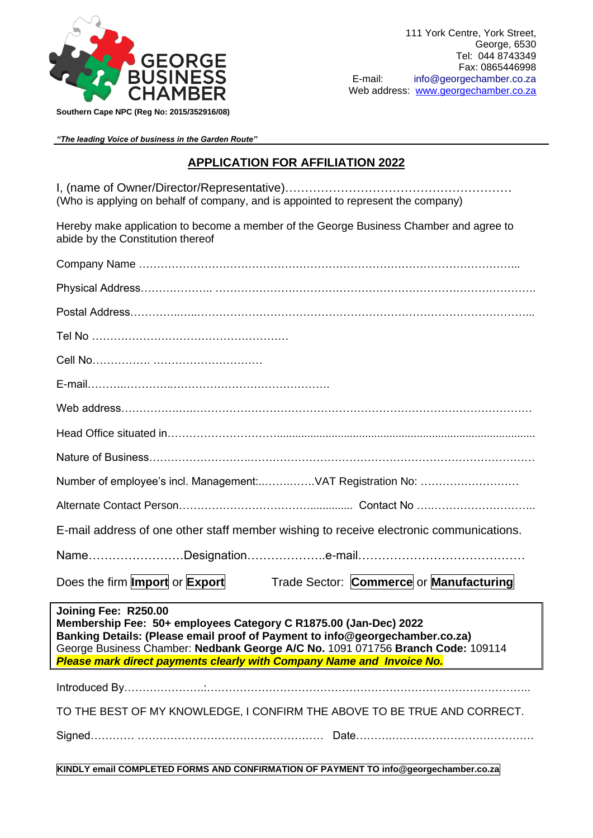

*"The leading Voice of business in the Garden Route"*

## **APPLICATION FOR AFFILIATION 2022**

I, (name of Owner/Director/Representative)………………………………………………… (Who is applying on behalf of company, and is appointed to represent the company)

Hereby make application to become a member of the George Business Chamber and agree to abide by the Constitution thereof

| Number of employee's incl. Management:VAT Registration No:                                                                                                                                                                                                                                                                           |
|--------------------------------------------------------------------------------------------------------------------------------------------------------------------------------------------------------------------------------------------------------------------------------------------------------------------------------------|
|                                                                                                                                                                                                                                                                                                                                      |
| E-mail address of one other staff member wishing to receive electronic communications.                                                                                                                                                                                                                                               |
|                                                                                                                                                                                                                                                                                                                                      |
| Does the firm <b>Import</b> or <b>Export</b><br>Trade Sector: Commerce or Manufacturing                                                                                                                                                                                                                                              |
| Joining Fee: R250.00<br>Membership Fee: 50+ employees Category C R1875.00 (Jan-Dec) 2022<br>Banking Details: (Please email proof of Payment to info@georgechamber.co.za)<br>George Business Chamber: Nedbank George A/C No. 1091 071756 Branch Code: 109114<br>Please mark direct payments clearly with Company Name and Invoice No. |
|                                                                                                                                                                                                                                                                                                                                      |
| TO THE BEST OF MY KNOWLEDGE, I CONFIRM THE ABOVE TO BE TRUE AND CORRECT.                                                                                                                                                                                                                                                             |
|                                                                                                                                                                                                                                                                                                                                      |
| KINDLY email COMPLETED FORMS AND CONFIRMATION OF PAYMENT TO info@georgechamber.co.za                                                                                                                                                                                                                                                 |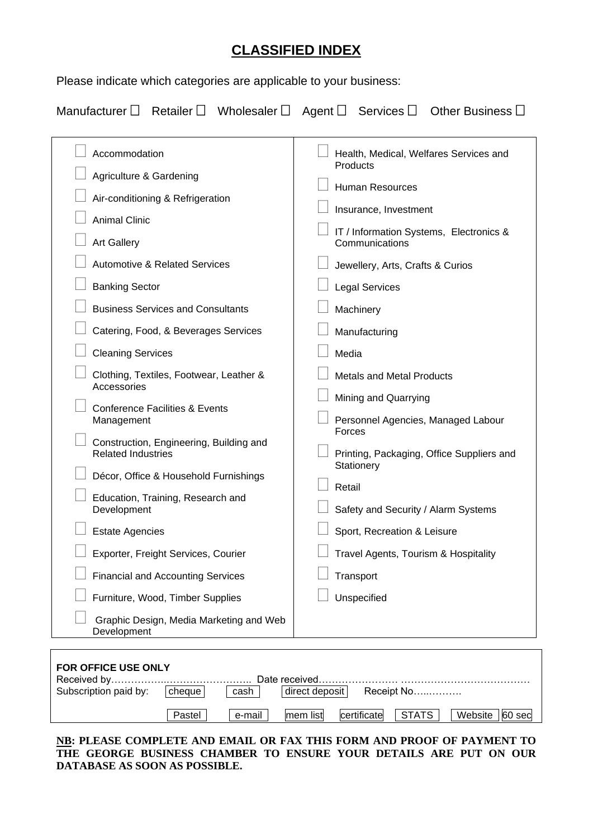## **CLASSIFIED INDEX**

Please indicate which categories are applicable to your business:

|  |  | Manufacturer $\Box$ Retailer $\Box$ Wholesaler $\Box$ Agent $\Box$ Services $\Box$ Other Business $\Box$ |
|--|--|----------------------------------------------------------------------------------------------------------|
|  |  |                                                                                                          |

| Accommodation                                                        | Health, Medical, Welfares Services and                    |
|----------------------------------------------------------------------|-----------------------------------------------------------|
| Agriculture & Gardening                                              | Products                                                  |
| Air-conditioning & Refrigeration                                     | Human Resources                                           |
| <b>Animal Clinic</b>                                                 | Insurance, Investment                                     |
| <b>Art Gallery</b>                                                   | IT / Information Systems, Electronics &<br>Communications |
| <b>Automotive &amp; Related Services</b>                             | Jewellery, Arts, Crafts & Curios                          |
| <b>Banking Sector</b>                                                | <b>Legal Services</b>                                     |
| <b>Business Services and Consultants</b>                             | Machinery                                                 |
| Catering, Food, & Beverages Services                                 | Manufacturing                                             |
| <b>Cleaning Services</b>                                             | Media                                                     |
| Clothing, Textiles, Footwear, Leather &<br>Accessories               | <b>Metals and Metal Products</b>                          |
| <b>Conference Facilities &amp; Events</b>                            | Mining and Quarrying                                      |
| Management                                                           | Personnel Agencies, Managed Labour<br>Forces              |
| Construction, Engineering, Building and<br><b>Related Industries</b> | Printing, Packaging, Office Suppliers and                 |
| Décor, Office & Household Furnishings                                | Stationery                                                |
| Education, Training, Research and                                    | Retail                                                    |
| Development                                                          | Safety and Security / Alarm Systems                       |
| <b>Estate Agencies</b>                                               | Sport, Recreation & Leisure                               |
| Exporter, Freight Services, Courier                                  | Travel Agents, Tourism & Hospitality                      |
| <b>Financial and Accounting Services</b>                             | Transport                                                 |
| Furniture, Wood, Timber Supplies                                     | Unspecified                                               |
| Graphic Design, Media Marketing and Web<br>Development               |                                                           |

| <b>FOR OFFICE USE ONLY</b> |        |        |                |                         |                   |
|----------------------------|--------|--------|----------------|-------------------------|-------------------|
|                            |        |        |                |                         |                   |
| Subscription paid by:      | cheque | cash   | direct deposit | Receipt No……………         |                   |
|                            | Pastel | e-mail | mem list       | I STATS.<br>certificate | Website<br>60 sec |

**NB: PLEASE COMPLETE AND EMAIL OR FAX THIS FORM AND PROOF OF PAYMENT TO THE GEORGE BUSINESS CHAMBER TO ENSURE YOUR DETAILS ARE PUT ON OUR DATABASE AS SOON AS POSSIBLE.**